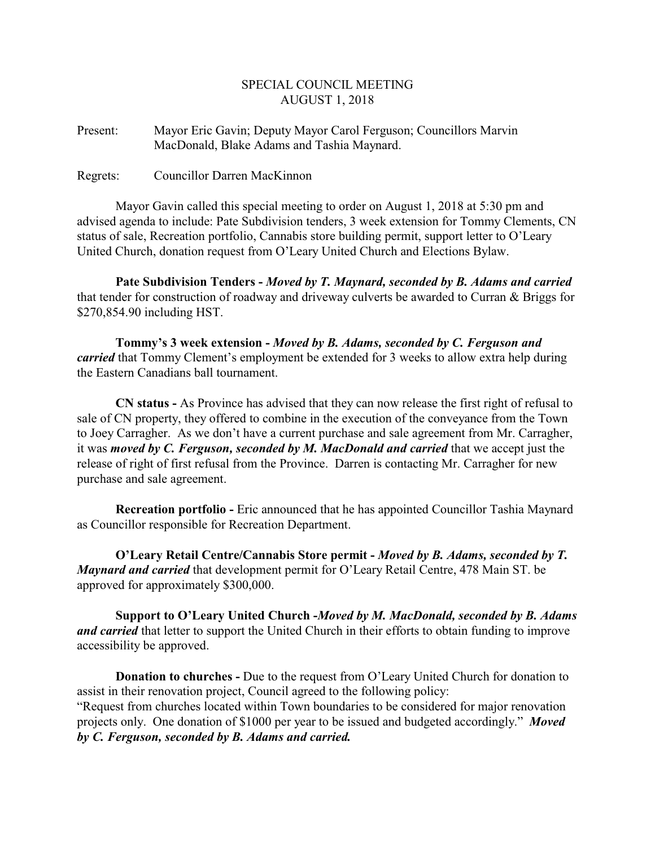## SPECIAL COUNCIL MEETING AUGUST 1, 2018

Present: Mayor Eric Gavin; Deputy Mayor Carol Ferguson; Councillors Marvin MacDonald, Blake Adams and Tashia Maynard.

Regrets: Councillor Darren MacKinnon

Mayor Gavin called this special meeting to order on August 1, 2018 at 5:30 pm and advised agenda to include: Pate Subdivision tenders, 3 week extension for Tommy Clements, CN status of sale, Recreation portfolio, Cannabis store building permit, support letter to O'Leary United Church, donation request from O'Leary United Church and Elections Bylaw.

**Pate Subdivision Tenders -** *Moved by T. Maynard, seconded by B. Adams and carried* that tender for construction of roadway and driveway culverts be awarded to Curran & Briggs for \$270,854.90 including HST.

**Tommy's 3 week extension -** *Moved by B. Adams, seconded by C. Ferguson and carried* that Tommy Clement's employment be extended for 3 weeks to allow extra help during the Eastern Canadians ball tournament.

**CN status -** As Province has advised that they can now release the first right of refusal to sale of CN property, they offered to combine in the execution of the conveyance from the Town to Joey Carragher. As we don't have a current purchase and sale agreement from Mr. Carragher, it was *moved by C. Ferguson, seconded by M. MacDonald and carried* that we accept just the release of right of first refusal from the Province. Darren is contacting Mr. Carragher for new purchase and sale agreement.

**Recreation portfolio -** Eric announced that he has appointed Councillor Tashia Maynard as Councillor responsible for Recreation Department.

**O'Leary Retail Centre/Cannabis Store permit -** *Moved by B. Adams, seconded by T. Maynard and carried* that development permit for O'Leary Retail Centre, 478 Main ST. be approved for approximately \$300,000.

**Support to O'Leary United Church -***Moved by M. MacDonald, seconded by B. Adams and carried* that letter to support the United Church in their efforts to obtain funding to improve accessibility be approved.

**Donation to churches -** Due to the request from O'Leary United Church for donation to assist in their renovation project, Council agreed to the following policy: "Request from churches located within Town boundaries to be considered for major renovation projects only. One donation of \$1000 per year to be issued and budgeted accordingly." *Moved by C. Ferguson, seconded by B. Adams and carried.*